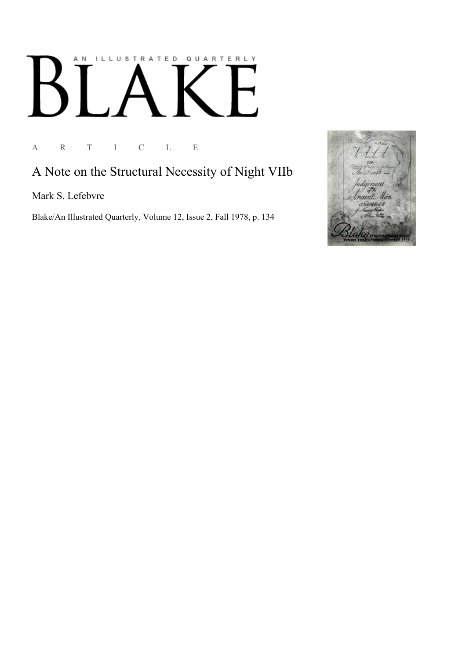## ILLUSTRATED QUARTERLY A N  $\begin{bmatrix} 1 \\ 1 \end{bmatrix}$  $\mathsf B$

A R T I C L E

## A Note on the Structural Necessity of Night VIIb

Mark S. Lefebvre

Blake/An Illustrated Quarterly, Volume 12, Issue 2, Fall 1978, p. 134